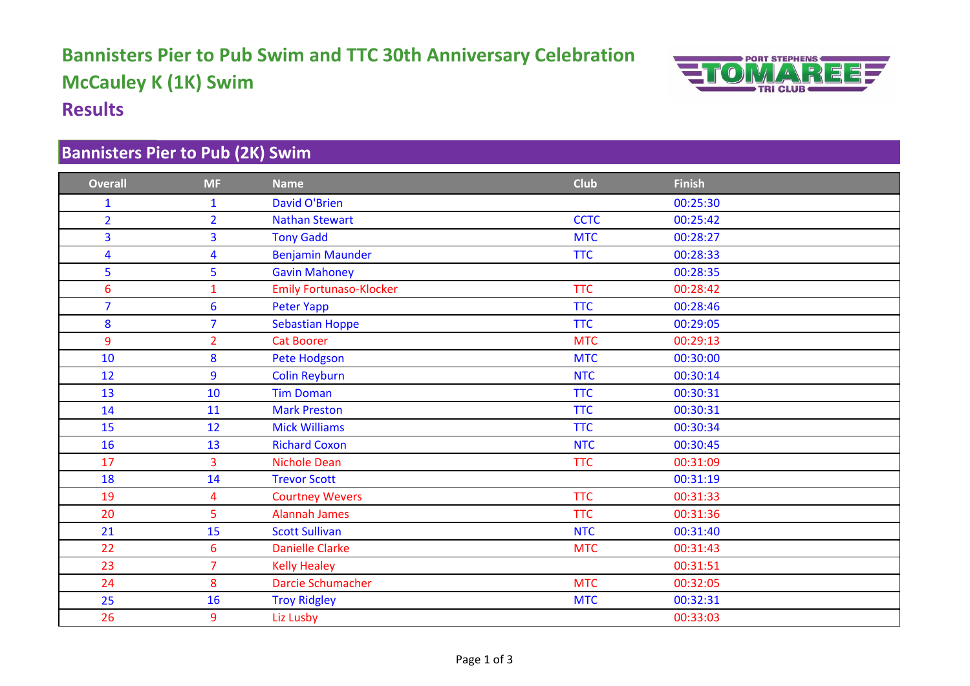# **Bannisters Pier to Pub Swim and TTC 30th Anniversary Celebration McCauley K (1K) Swim Results**



#### **Bannisters Pier to Pub (2K) Swim**

| <b>Overall</b>          | <b>MF</b>       | <b>Name</b>                    | <b>Club</b> | <b>Finish</b> |
|-------------------------|-----------------|--------------------------------|-------------|---------------|
| 1                       | $\mathbf{1}$    | <b>David O'Brien</b>           |             | 00:25:30      |
| $\overline{2}$          | $\overline{2}$  | <b>Nathan Stewart</b>          | <b>CCTC</b> | 00:25:42      |
| 3                       | $\overline{3}$  | <b>Tony Gadd</b>               | <b>MTC</b>  | 00:28:27      |
| $\overline{\mathbf{4}}$ | $\overline{4}$  | <b>Benjamin Maunder</b>        | <b>TTC</b>  | 00:28:33      |
| 5                       | 5               | <b>Gavin Mahoney</b>           |             | 00:28:35      |
| 6                       | $\mathbf{1}$    | <b>Emily Fortunaso-Klocker</b> | <b>TTC</b>  | 00:28:42      |
| $\overline{7}$          | $6\phantom{1}$  | Peter Yapp                     | <b>TTC</b>  | 00:28:46      |
| 8                       | $\overline{7}$  | <b>Sebastian Hoppe</b>         | <b>TTC</b>  | 00:29:05      |
| 9                       | $\overline{2}$  | <b>Cat Boorer</b>              | <b>MTC</b>  | 00:29:13      |
| 10                      | 8               | Pete Hodgson                   | <b>MTC</b>  | 00:30:00      |
| 12                      | 9               | <b>Colin Reyburn</b>           | <b>NTC</b>  | 00:30:14      |
| 13                      | 10              | <b>Tim Doman</b>               | <b>TTC</b>  | 00:30:31      |
| 14                      | 11              | <b>Mark Preston</b>            | <b>TTC</b>  | 00:30:31      |
| 15                      | 12              | <b>Mick Williams</b>           | <b>TTC</b>  | 00:30:34      |
| 16                      | 13              | <b>Richard Coxon</b>           | <b>NTC</b>  | 00:30:45      |
| 17                      | $\overline{3}$  | <b>Nichole Dean</b>            | <b>TTC</b>  | 00:31:09      |
| 18                      | 14              | <b>Trevor Scott</b>            |             | 00:31:19      |
| 19                      | 4               | <b>Courtney Wevers</b>         | <b>TTC</b>  | 00:31:33      |
| 20                      | 5               | <b>Alannah James</b>           | <b>TTC</b>  | 00:31:36      |
| 21                      | 15              | <b>Scott Sullivan</b>          | <b>NTC</b>  | 00:31:40      |
| 22                      | $6\overline{6}$ | <b>Danielle Clarke</b>         | <b>MTC</b>  | 00:31:43      |
| 23                      | $\overline{7}$  | <b>Kelly Healey</b>            |             | 00:31:51      |
| 24                      | 8               | Darcie Schumacher              | <b>MTC</b>  | 00:32:05      |
| 25                      | 16              | <b>Troy Ridgley</b>            | <b>MTC</b>  | 00:32:31      |
| 26                      | 9               | Liz Lusby                      |             | 00:33:03      |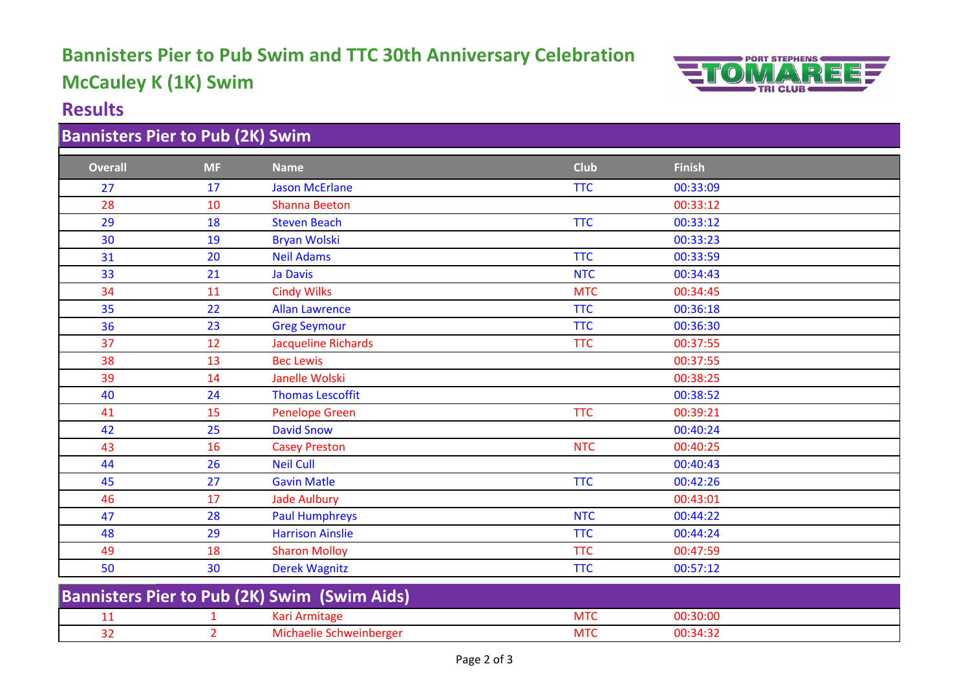# **Bannisters Pier to Pub Swim and TTC 30th Anniversary Celebration McCauley K (1K) Swim**



#### **Results**

## **Bannisters Pier to Pub (2K) Swim**

| <b>Overall</b>                                      | <b>MF</b>      | <b>Name</b>                | <b>Club</b> | <b>Finish</b> |
|-----------------------------------------------------|----------------|----------------------------|-------------|---------------|
| 27                                                  | 17             | <b>Jason McErlane</b>      | <b>TTC</b>  | 00:33:09      |
| 28                                                  | 10             | <b>Shanna Beeton</b>       |             | 00:33:12      |
| 29                                                  | 18             | <b>Steven Beach</b>        | <b>TTC</b>  | 00:33:12      |
| 30                                                  | 19             | <b>Bryan Wolski</b>        |             | 00:33:23      |
| 31                                                  | 20             | <b>Neil Adams</b>          | <b>TTC</b>  | 00:33:59      |
| 33                                                  | 21             | Ja Davis                   | <b>NTC</b>  | 00:34:43      |
| 34                                                  | 11             | <b>Cindy Wilks</b>         | <b>MTC</b>  | 00:34:45      |
| 35                                                  | 22             | <b>Allan Lawrence</b>      | <b>TTC</b>  | 00:36:18      |
| 36                                                  | 23             | <b>Greg Seymour</b>        | <b>TTC</b>  | 00:36:30      |
| 37                                                  | 12             | <b>Jacqueline Richards</b> | <b>TTC</b>  | 00:37:55      |
| 38                                                  | 13             | <b>Bec Lewis</b>           |             | 00:37:55      |
| 39                                                  | 14             | Janelle Wolski             |             | 00:38:25      |
| 40                                                  | 24             | <b>Thomas Lescoffit</b>    |             | 00:38:52      |
| 41                                                  | 15             | <b>Penelope Green</b>      | <b>TTC</b>  | 00:39:21      |
| 42                                                  | 25             | <b>David Snow</b>          |             | 00:40:24      |
| 43                                                  | 16             | <b>Casey Preston</b>       | <b>NTC</b>  | 00:40:25      |
| 44                                                  | 26             | <b>Neil Cull</b>           |             | 00:40:43      |
| 45                                                  | 27             | <b>Gavin Matle</b>         | <b>TTC</b>  | 00:42:26      |
| 46                                                  | 17             | <b>Jade Aulbury</b>        |             | 00:43:01      |
| 47                                                  | 28             | <b>Paul Humphreys</b>      | <b>NTC</b>  | 00:44:22      |
| 48                                                  | 29             | <b>Harrison Ainslie</b>    | <b>TTC</b>  | 00:44:24      |
| 49                                                  | 18             | <b>Sharon Molloy</b>       | <b>TTC</b>  | 00:47:59      |
| 50                                                  | 30             | <b>Derek Wagnitz</b>       | <b>TTC</b>  | 00:57:12      |
| <b>Bannisters Pier to Pub (2K) Swim (Swim Aids)</b> |                |                            |             |               |
| 11                                                  | 1              | Kari Armitage              | <b>MTC</b>  | 00:30:00      |
| 32                                                  | $\overline{2}$ | Michaelie Schweinberger    | <b>MTC</b>  | 00:34:32      |